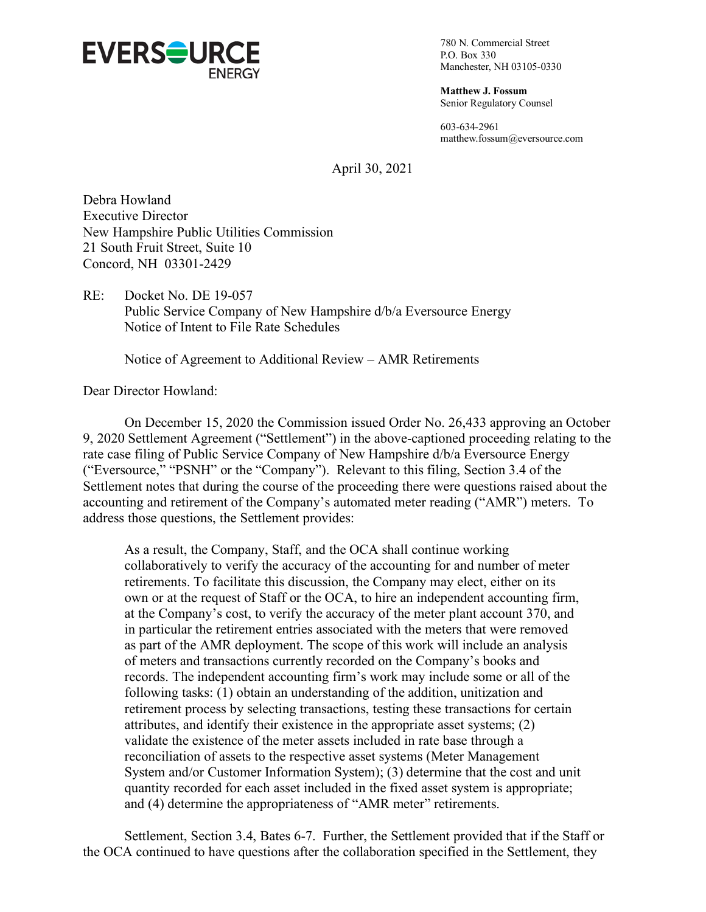

780 N. Commercial Street P.O. Box 330 Manchester, NH 03105-0330

**Matthew J. Fossum** Senior Regulatory Counsel

603-634-2961 matthew.fossum@eversource.com

April 30, 2021

Debra Howland Executive Director New Hampshire Public Utilities Commission 21 South Fruit Street, Suite 10 Concord, NH 03301-2429

RE: Docket No. DE 19-057 Public Service Company of New Hampshire d/b/a Eversource Energy Notice of Intent to File Rate Schedules

Notice of Agreement to Additional Review – AMR Retirements

Dear Director Howland:

On December 15, 2020 the Commission issued Order No. 26,433 approving an October 9, 2020 Settlement Agreement ("Settlement") in the above-captioned proceeding relating to the rate case filing of Public Service Company of New Hampshire d/b/a Eversource Energy ("Eversource," "PSNH" or the "Company"). Relevant to this filing, Section 3.4 of the Settlement notes that during the course of the proceeding there were questions raised about the accounting and retirement of the Company's automated meter reading ("AMR") meters. To address those questions, the Settlement provides:

As a result, the Company, Staff, and the OCA shall continue working collaboratively to verify the accuracy of the accounting for and number of meter retirements. To facilitate this discussion, the Company may elect, either on its own or at the request of Staff or the OCA, to hire an independent accounting firm, at the Company's cost, to verify the accuracy of the meter plant account 370, and in particular the retirement entries associated with the meters that were removed as part of the AMR deployment. The scope of this work will include an analysis of meters and transactions currently recorded on the Company's books and records. The independent accounting firm's work may include some or all of the following tasks: (1) obtain an understanding of the addition, unitization and retirement process by selecting transactions, testing these transactions for certain attributes, and identify their existence in the appropriate asset systems; (2) validate the existence of the meter assets included in rate base through a reconciliation of assets to the respective asset systems (Meter Management System and/or Customer Information System); (3) determine that the cost and unit quantity recorded for each asset included in the fixed asset system is appropriate; and (4) determine the appropriateness of "AMR meter" retirements.

Settlement, Section 3.4, Bates 6-7. Further, the Settlement provided that if the Staff or the OCA continued to have questions after the collaboration specified in the Settlement, they